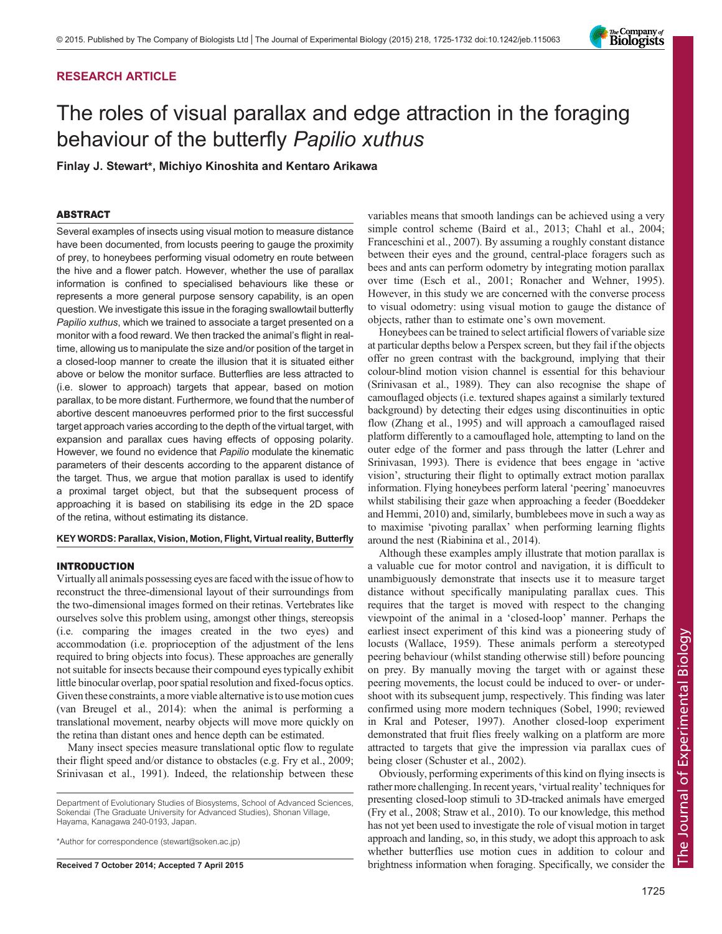# RESEARCH ARTICLE

# The roles of visual parallax and edge attraction in the foraging behaviour of the butterfly Papilio xuthus

Finlay J. Stewart\*, Michiyo Kinoshita and Kentaro Arikawa

# ABSTRACT

Several examples of insects using visual motion to measure distance have been documented, from locusts peering to gauge the proximity of prey, to honeybees performing visual odometry en route between the hive and a flower patch. However, whether the use of parallax information is confined to specialised behaviours like these or represents a more general purpose sensory capability, is an open question. We investigate this issue in the foraging swallowtail butterfly Papilio xuthus, which we trained to associate a target presented on a monitor with a food reward. We then tracked the animal's flight in realtime, allowing us to manipulate the size and/or position of the target in a closed-loop manner to create the illusion that it is situated either above or below the monitor surface. Butterflies are less attracted to (i.e. slower to approach) targets that appear, based on motion parallax, to be more distant. Furthermore, we found that the number of abortive descent manoeuvres performed prior to the first successful target approach varies according to the depth of the virtual target, with expansion and parallax cues having effects of opposing polarity. However, we found no evidence that Papilio modulate the kinematic parameters of their descents according to the apparent distance of the target. Thus, we argue that motion parallax is used to identify a proximal target object, but that the subsequent process of approaching it is based on stabilising its edge in the 2D space of the retina, without estimating its distance.

# KEY WORDS: Parallax, Vision, Motion, Flight, Virtual reality, Butterfly

# INTRODUCTION

Virtually all animals possessing eyes are faced with the issue of how to reconstruct the three-dimensional layout of their surroundings from the two-dimensional images formed on their retinas. Vertebrates like ourselves solve this problem using, amongst other things, stereopsis (i.e. comparing the images created in the two eyes) and accommodation (i.e. proprioception of the adjustment of the lens required to bring objects into focus). These approaches are generally not suitable for insects because their compound eyes typically exhibit little binocular overlap, poor spatial resolution and fixed-focus optics. Given these constraints, a more viable alternative isto use motion cues [\(van Breugel et al., 2014](#page-7-0)): when the animal is performing a translational movement, nearby objects will move more quickly on the retina than distant ones and hence depth can be estimated.

Many insect species measure translational optic flow to regulate their flight speed and/or distance to obstacles (e.g. [Fry et al., 2009](#page-7-0); [Srinivasan et al., 1991](#page-7-0)). Indeed, the relationship between these

variables means that smooth landings can be achieved using a very simple control scheme ([Baird et al., 2013; Chahl et al., 2004](#page-7-0); [Franceschini et al., 2007\)](#page-7-0). By assuming a roughly constant distance between their eyes and the ground, central-place foragers such as bees and ants can perform odometry by integrating motion parallax over time ([Esch et al., 2001; Ronacher and Wehner, 1995\)](#page-7-0). However, in this study we are concerned with the converse process to visual odometry: using visual motion to gauge the distance of objects, rather than to estimate one's own movement.

Honeybees can be trained to select artificial flowers of variable size at particular depths below a Perspex screen, but they fail if the objects offer no green contrast with the background, implying that their colour-blind motion vision channel is essential for this behaviour [\(Srinivasan et al., 1989](#page-7-0)). They can also recognise the shape of camouflaged objects (i.e. textured shapes against a similarly textured background) by detecting their edges using discontinuities in optic flow [\(Zhang et al., 1995\)](#page-7-0) and will approach a camouflaged raised platform differently to a camouflaged hole, attempting to land on the outer edge of the former and pass through the latter [\(Lehrer and](#page-7-0) [Srinivasan, 1993](#page-7-0)). There is evidence that bees engage in 'active vision', structuring their flight to optimally extract motion parallax information. Flying honeybees perform lateral 'peering' manoeuvres whilst stabilising their gaze when approaching a feeder [\(Boeddeker](#page-7-0) [and Hemmi, 2010](#page-7-0)) and, similarly, bumblebees move in such a way as to maximise 'pivoting parallax' when performing learning flights around the nest ([Riabinina et al., 2014](#page-7-0)).

Although these examples amply illustrate that motion parallax is a valuable cue for motor control and navigation, it is difficult to unambiguously demonstrate that insects use it to measure target distance without specifically manipulating parallax cues. This requires that the target is moved with respect to the changing viewpoint of the animal in a 'closed-loop' manner. Perhaps the earliest insect experiment of this kind was a pioneering study of locusts [\(Wallace, 1959](#page-7-0)). These animals perform a stereotyped peering behaviour (whilst standing otherwise still) before pouncing on prey. By manually moving the target with or against these peering movements, the locust could be induced to over- or undershoot with its subsequent jump, respectively. This finding was later confirmed using more modern techniques [\(Sobel, 1990](#page-7-0); reviewed in [Kral and Poteser, 1997](#page-7-0)). Another closed-loop experiment demonstrated that fruit flies freely walking on a platform are more attracted to targets that give the impression via parallax cues of being closer ([Schuster et al., 2002](#page-7-0)).

Obviously, performing experiments of this kind on flying insects is rather more challenging. In recent years, 'virtual reality' techniques for presenting closed-loop stimuli to 3D-tracked animals have emerged [\(Fry et al., 2008](#page-7-0); [Straw et al., 2010](#page-7-0)). To our knowledge, this method has not yet been used to investigate the role of visual motion in target approach and landing, so, in this study, we adopt this approach to ask whether butterflies use motion cues in addition to colour and Received 7 October 2014; Accepted 7 April 2015 brightness information when foraging. Specifically, we consider the



Department of Evolutionary Studies of Biosystems, School of Advanced Sciences, Sokendai (The Graduate University for Advanced Studies), Shonan Village, Hayama, Kanagawa 240-0193, Japan.

<sup>\*</sup>Author for correspondence (stewart@soken.ac.jp)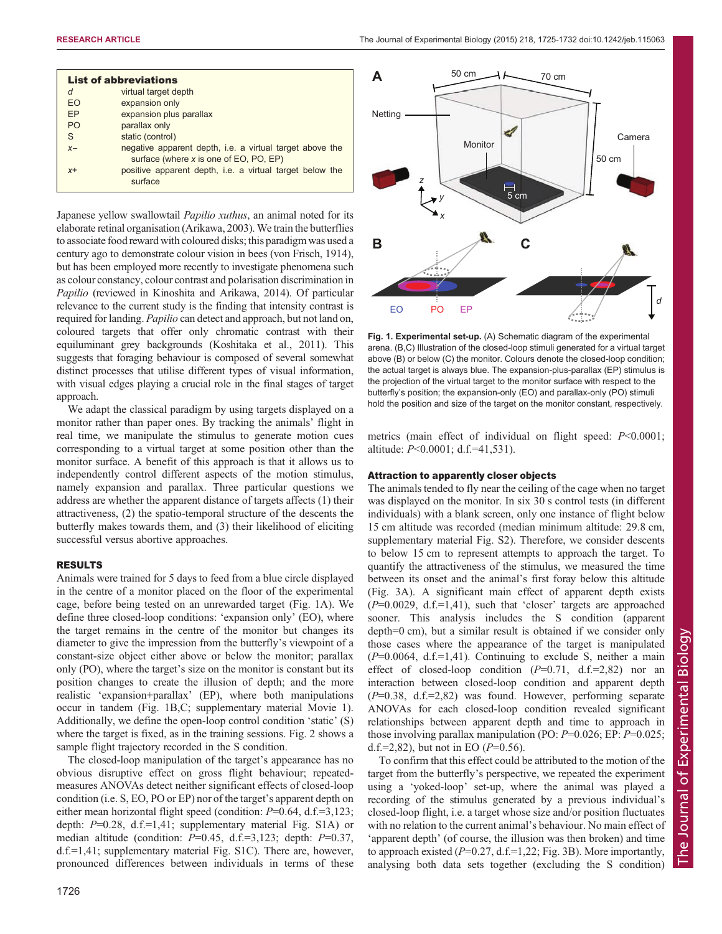<span id="page-1-0"></span>

| <b>List of abbreviations</b> |                                                                                                    |
|------------------------------|----------------------------------------------------------------------------------------------------|
| d                            | virtual target depth                                                                               |
| EO                           | expansion only                                                                                     |
| <b>FP</b>                    | expansion plus parallax                                                                            |
| P <sub>O</sub>               | parallax only                                                                                      |
| S                            | static (control)                                                                                   |
| $X -$                        | negative apparent depth, i.e. a virtual target above the<br>surface (where x is one of EO, PO, EP) |
| $x+$                         | positive apparent depth, i.e. a virtual target below the<br>surface                                |

Japanese yellow swallowtail Papilio xuthus, an animal noted for its elaborate retinal organisation [\(Arikawa, 2003](#page-7-0)). We train the butterflies to associate food reward with coloured disks; this paradigm was used a century ago to demonstrate colour vision in bees [\(von Frisch, 1914\)](#page-7-0), but has been employed more recently to investigate phenomena such as colour constancy, colour contrast and polarisation discrimination in Papilio (reviewed in [Kinoshita and Arikawa, 2014](#page-7-0)). Of particular relevance to the current study is the finding that intensity contrast is required for landing. Papilio can detect and approach, but not land on, coloured targets that offer only chromatic contrast with their equiluminant grey backgrounds ([Koshitaka et al., 2011](#page-7-0)). This suggests that foraging behaviour is composed of several somewhat distinct processes that utilise different types of visual information, with visual edges playing a crucial role in the final stages of target approach.

We adapt the classical paradigm by using targets displayed on a monitor rather than paper ones. By tracking the animals' flight in real time, we manipulate the stimulus to generate motion cues corresponding to a virtual target at some position other than the monitor surface. A benefit of this approach is that it allows us to independently control different aspects of the motion stimulus, namely expansion and parallax. Three particular questions we address are whether the apparent distance of targets affects (1) their attractiveness, (2) the spatio-temporal structure of the descents the butterfly makes towards them, and (3) their likelihood of eliciting successful versus abortive approaches.

# RESULTS

Animals were trained for 5 days to feed from a blue circle displayed in the centre of a monitor placed on the floor of the experimental cage, before being tested on an unrewarded target (Fig. 1A). We define three closed-loop conditions: 'expansion only' (EO), where the target remains in the centre of the monitor but changes its diameter to give the impression from the butterfly's viewpoint of a constant-size object either above or below the monitor; parallax only (PO), where the target's size on the monitor is constant but its position changes to create the illusion of depth; and the more realistic 'expansion+parallax' (EP), where both manipulations occur in tandem (Fig. 1B,C; [supplementary material Movie 1\)](http://jeb.biologists.org/lookup/suppl/doi:10.1242/jeb.115063/-/DC1). Additionally, we define the open-loop control condition 'static' (S) where the target is fixed, as in the training sessions. [Fig. 2](#page-2-0) shows a sample flight trajectory recorded in the S condition.

The closed-loop manipulation of the target's appearance has no obvious disruptive effect on gross flight behaviour; repeatedmeasures ANOVAs detect neither significant effects of closed-loop condition (i.e. S, EO, PO or EP) nor of the target's apparent depth on either mean horizontal flight speed (condition:  $P=0.64$ , d.f.=3,123; depth:  $P=0.28$ , d.f.=1,41; [supplementary material Fig. S1A](http://jeb.biologists.org/lookup/suppl/doi:10.1242/jeb.115063/-/DC1)) or median altitude (condition:  $P=0.45$ , d.f.=3,123; depth:  $P=0.37$ , d.f.=1,41; [supplementary material Fig. S1C](http://jeb.biologists.org/lookup/suppl/doi:10.1242/jeb.115063/-/DC1)). There are, however, pronounced differences between individuals in terms of these



Fig. 1. Experimental set-up. (A) Schematic diagram of the experimental arena. (B,C) Illustration of the closed-loop stimuli generated for a virtual target above (B) or below (C) the monitor. Colours denote the closed-loop condition; the actual target is always blue. The expansion-plus-parallax (EP) stimulus is the projection of the virtual target to the monitor surface with respect to the butterfly's position; the expansion-only (EO) and parallax-only (PO) stimuli hold the position and size of the target on the monitor constant, respectively.

metrics (main effect of individual on flight speed:  $P<0.0001$ ; altitude: P<0.0001; d.f.=41,531).

# Attraction to apparently closer objects

The animals tended to fly near the ceiling of the cage when no target was displayed on the monitor. In six 30 s control tests (in different individuals) with a blank screen, only one instance of flight below 15 cm altitude was recorded (median minimum altitude: 29.8 cm, [supplementary material Fig. S2](http://jeb.biologists.org/lookup/suppl/doi:10.1242/jeb.115063/-/DC1)). Therefore, we consider descents to below 15 cm to represent attempts to approach the target. To quantify the attractiveness of the stimulus, we measured the time between its onset and the animal's first foray below this altitude [\(Fig. 3](#page-2-0)A). A significant main effect of apparent depth exists  $(P=0.0029, d.f.=1,41)$ , such that 'closer' targets are approached sooner. This analysis includes the S condition (apparent depth=0 cm), but a similar result is obtained if we consider only those cases where the appearance of the target is manipulated  $(P=0.0064, d.f.=1,41)$ . Continuing to exclude S, neither a main effect of closed-loop condition  $(P=0.71, d.f.=2,82)$  nor an interaction between closed-loop condition and apparent depth  $(P=0.38, d.f.=2.82)$  was found. However, performing separate ANOVAs for each closed-loop condition revealed significant relationships between apparent depth and time to approach in those involving parallax manipulation (PO:  $P=0.026$ ; EP:  $P=0.025$ ; d.f.=2,82), but not in EO ( $P=0.56$ ).

To confirm that this effect could be attributed to the motion of the target from the butterfly's perspective, we repeated the experiment using a 'yoked-loop' set-up, where the animal was played a recording of the stimulus generated by a previous individual's closed-loop flight, i.e. a target whose size and/or position fluctuates with no relation to the current animal's behaviour. No main effect of 'apparent depth' (of course, the illusion was then broken) and time to approach existed ( $P=0.27$ , d.f.=1,22; [Fig. 3B](#page-2-0)). More importantly, analysing both data sets together (excluding the S condition)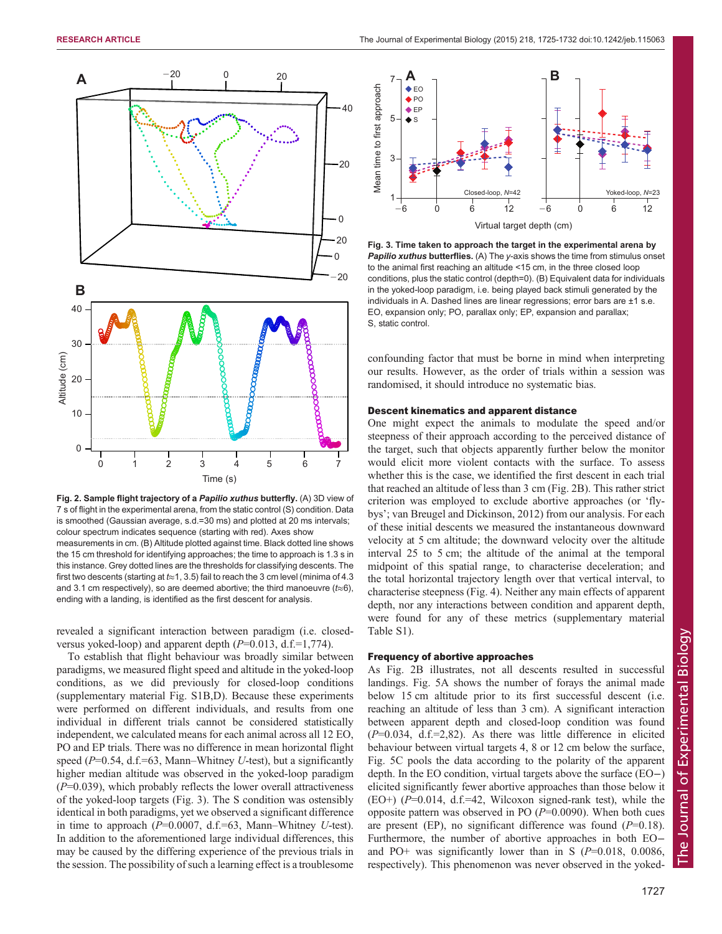<span id="page-2-0"></span>

Fig. 2. Sample flight trajectory of a Papilio xuthus butterfly. (A) 3D view of 7 s of flight in the experimental arena, from the static control (S) condition. Data is smoothed (Gaussian average, s.d.=30 ms) and plotted at 20 ms intervals; colour spectrum indicates sequence (starting with red). Axes show measurements in cm. (B) Altitude plotted against time. Black dotted line shows the 15 cm threshold for identifying approaches; the time to approach is 1.3 s in this instance. Grey dotted lines are the thresholds for classifying descents. The first two descents (starting at  $t \approx 1$ , 3.5) fail to reach the 3 cm level (minima of 4.3 and 3.1 cm respectively), so are deemed abortive; the third manoeuvre ( $t \approx 6$ ), ending with a landing, is identified as the first descent for analysis.

revealed a significant interaction between paradigm (i.e. closedversus yoked-loop) and apparent depth  $(P=0.013, d.f.=1,774)$ .

To establish that flight behaviour was broadly similar between paradigms, we measured flight speed and altitude in the yoked-loop conditions, as we did previously for closed-loop conditions [\(supplementary material Fig. S1B,D\)](http://jeb.biologists.org/lookup/suppl/doi:10.1242/jeb.115063/-/DC1). Because these experiments were performed on different individuals, and results from one individual in different trials cannot be considered statistically independent, we calculated means for each animal across all 12 EO, PO and EP trials. There was no difference in mean horizontal flight speed ( $P=0.54$ , d.f.=63, Mann–Whitney U-test), but a significantly higher median altitude was observed in the yoked-loop paradigm  $(P=0.039)$ , which probably reflects the lower overall attractiveness of the yoked-loop targets (Fig. 3). The S condition was ostensibly identical in both paradigms, yet we observed a significant difference in time to approach  $(P=0.0007, d.f.=63, Mann-Whitney U-test)$ . In addition to the aforementioned large individual differences, this may be caused by the differing experience of the previous trials in the session. The possibility of such a learning effect is a troublesome



Fig. 3. Time taken to approach the target in the experimental arena by Papilio xuthus butterflies. (A) The y-axis shows the time from stimulus onset to the animal first reaching an altitude <15 cm, in the three closed loop conditions, plus the static control (depth=0). (B) Equivalent data for individuals in the yoked-loop paradigm, i.e. being played back stimuli generated by the individuals in A. Dashed lines are linear regressions; error bars are ±1 s.e. EO, expansion only; PO, parallax only; EP, expansion and parallax; S, static control.

confounding factor that must be borne in mind when interpreting our results. However, as the order of trials within a session was randomised, it should introduce no systematic bias.

# Descent kinematics and apparent distance

One might expect the animals to modulate the speed and/or steepness of their approach according to the perceived distance of the target, such that objects apparently further below the monitor would elicit more violent contacts with the surface. To assess whether this is the case, we identified the first descent in each trial that reached an altitude of less than 3 cm (Fig. 2B). This rather strict criterion was employed to exclude abortive approaches (or 'flybys'; [van Breugel and Dickinson, 2012](#page-7-0)) from our analysis. For each of these initial descents we measured the instantaneous downward velocity at 5 cm altitude; the downward velocity over the altitude interval 25 to 5 cm; the altitude of the animal at the temporal midpoint of this spatial range, to characterise deceleration; and the total horizontal trajectory length over that vertical interval, to characterise steepness ([Fig. 4\)](#page-3-0). Neither any main effects of apparent depth, nor any interactions between condition and apparent depth, were found for any of these metrics ([supplementary material](http://jeb.biologists.org/lookup/suppl/doi:10.1242/jeb.115063/-/DC1) [Table S1\)](http://jeb.biologists.org/lookup/suppl/doi:10.1242/jeb.115063/-/DC1).

# Frequency of abortive approaches

As Fig. 2B illustrates, not all descents resulted in successful landings. [Fig. 5](#page-3-0)A shows the number of forays the animal made below 15 cm altitude prior to its first successful descent (i.e. reaching an altitude of less than 3 cm). A significant interaction between apparent depth and closed-loop condition was found  $(P=0.034, d.f.=2.82)$ . As there was little difference in elicited behaviour between virtual targets 4, 8 or 12 cm below the surface, [Fig. 5C](#page-3-0) pools the data according to the polarity of the apparent depth. In the EO condition, virtual targets above the surface (EO−) elicited significantly fewer abortive approaches than those below it  $(EO+)$   $(P=0.014, d.f.=42, Wilcoxon signed-rank test)$ , while the opposite pattern was observed in PO  $(P=0.0090)$ . When both cues are present (EP), no significant difference was found  $(P=0.18)$ . Furthermore, the number of abortive approaches in both EO− and PO+ was significantly lower than in S  $(P=0.018, 0.0086,$ respectively). This phenomenon was never observed in the yoked-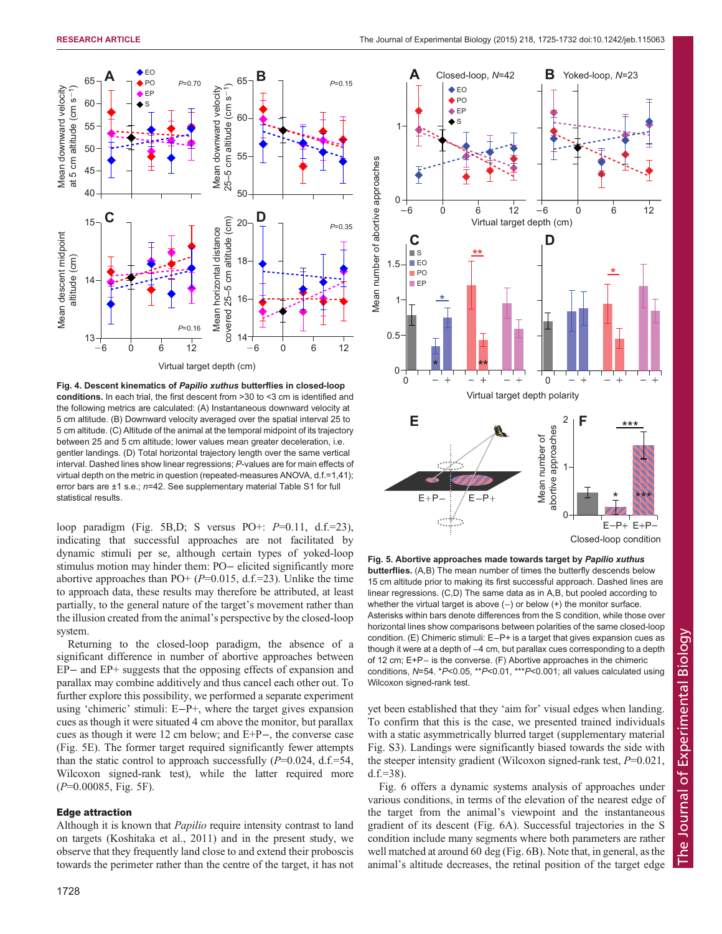<span id="page-3-0"></span>

Fig. 4. Descent kinematics of Papilio xuthus butterflies in closed-loop conditions. In each trial, the first descent from >30 to <3 cm is identified and the following metrics are calculated: (A) Instantaneous downward velocity at 5 cm altitude. (B) Downward velocity averaged over the spatial interval 25 to 5 cm altitude. (C) Altitude of the animal at the temporal midpoint of its trajectory between 25 and 5 cm altitude; lower values mean greater deceleration, i.e. gentler landings. (D) Total horizontal trajectory length over the same vertical interval. Dashed lines show linear regressions; P-values are for main effects of virtual depth on the metric in question (repeated-measures ANOVA, d.f.=1,41); error bars are ±1 s.e.; n=42. See [supplementary material Table S1](http://jeb.biologists.org/lookup/suppl/doi:10.1242/jeb.115063/-/DC1) for full statistical results.

loop paradigm (Fig. 5B,D; S versus PO+:  $P=0.11$ , d.f.=23), indicating that successful approaches are not facilitated by dynamic stimuli per se, although certain types of yoked-loop stimulus motion may hinder them: PO− elicited significantly more abortive approaches than PO+  $(P=0.015, d.f.=23)$ . Unlike the time to approach data, these results may therefore be attributed, at least partially, to the general nature of the target's movement rather than the illusion created from the animal's perspective by the closed-loop system.

Returning to the closed-loop paradigm, the absence of a significant difference in number of abortive approaches between EP− and EP+ suggests that the opposing effects of expansion and parallax may combine additively and thus cancel each other out. To further explore this possibility, we performed a separate experiment using 'chimeric' stimuli: E−P+, where the target gives expansion cues as though it were situated 4 cm above the monitor, but parallax cues as though it were 12 cm below; and E+P−, the converse case (Fig. 5E). The former target required significantly fewer attempts than the static control to approach successfully  $(P=0.024, d.f.=54,$ Wilcoxon signed-rank test), while the latter required more  $(P=0.00085, Fig. 5F).$ 

# Edge attraction

Although it is known that Papilio require intensity contrast to land on targets [\(Koshitaka et al., 2011\)](#page-7-0) and in the present study, we observe that they frequently land close to and extend their proboscis towards the perimeter rather than the centre of the target, it has not



Fig. 5. Abortive approaches made towards target by Papilio xuthus butterflies. (A,B) The mean number of times the butterfly descends below 15 cm altitude prior to making its first successful approach. Dashed lines are linear regressions. (C,D) The same data as in A,B, but pooled according to whether the virtual target is above (-) or below (+) the monitor surface. Asterisks within bars denote differences from the S condition, while those over horizontal lines show comparisons between polarities of the same closed-loop condition. (E) Chimeric stimuli: E−P+ is a target that gives expansion cues as though it were at a depth of −4 cm, but parallax cues corresponding to a depth of 12 cm; E+P− is the converse. (F) Abortive approaches in the chimeric conditions, N=54. \*P<0.05, \*\*P<0.01, \*\*\*P<0.001; all values calculated using Wilcoxon signed-rank test.

yet been established that they 'aim for' visual edges when landing. To confirm that this is the case, we presented trained individuals with a static asymmetrically blurred target ([supplementary material](http://jeb.biologists.org/lookup/suppl/doi:10.1242/jeb.115063/-/DC1) [Fig. S3\)](http://jeb.biologists.org/lookup/suppl/doi:10.1242/jeb.115063/-/DC1). Landings were significantly biased towards the side with the steeper intensity gradient (Wilcoxon signed-rank test,  $P=0.021$ , d.f.= $38$ ).

[Fig. 6](#page-4-0) offers a dynamic systems analysis of approaches under various conditions, in terms of the elevation of the nearest edge of the target from the animal's viewpoint and the instantaneous gradient of its descent [\(Fig. 6](#page-4-0)A). Successful trajectories in the S condition include many segments where both parameters are rather well matched at around 60 deg ([Fig. 6B](#page-4-0)). Note that, in general, as the animal's altitude decreases, the retinal position of the target edge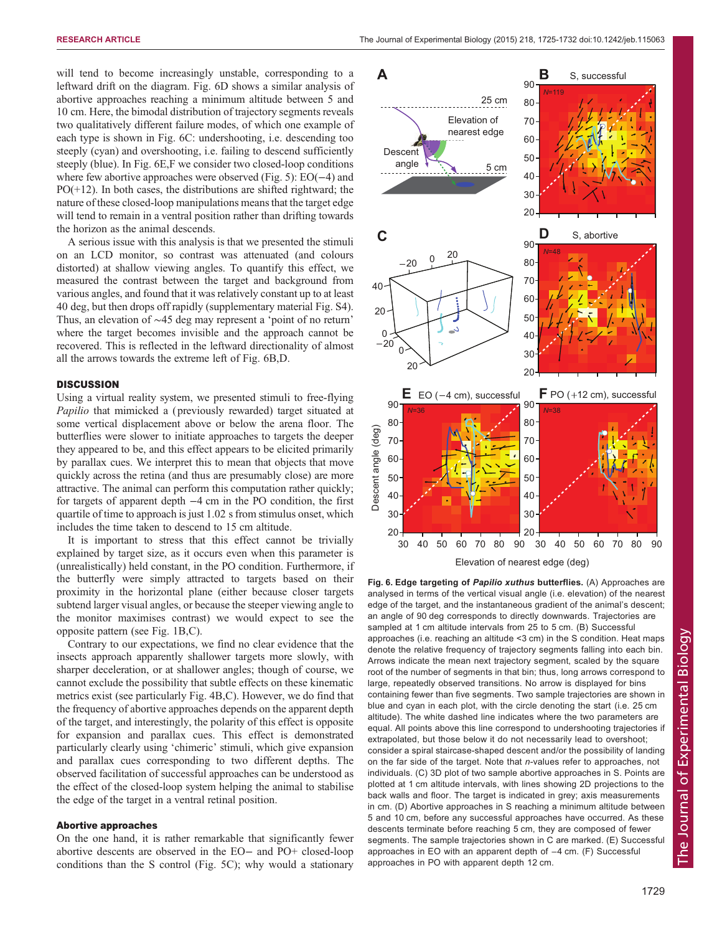<span id="page-4-0"></span>will tend to become increasingly unstable, corresponding to a leftward drift on the diagram. Fig. 6D shows a similar analysis of abortive approaches reaching a minimum altitude between 5 and 10 cm. Here, the bimodal distribution of trajectory segments reveals two qualitatively different failure modes, of which one example of each type is shown in Fig. 6C: undershooting, i.e. descending too steeply (cyan) and overshooting, i.e. failing to descend sufficiently steeply (blue). In Fig. 6E,F we consider two closed-loop conditions where few abortive approaches were observed ([Fig. 5\)](#page-3-0): EO(−4) and  $PO(+12)$ . In both cases, the distributions are shifted rightward; the nature of these closed-loop manipulations means that the target edge will tend to remain in a ventral position rather than drifting towards the horizon as the animal descends.

A serious issue with this analysis is that we presented the stimuli on an LCD monitor, so contrast was attenuated (and colours distorted) at shallow viewing angles. To quantify this effect, we measured the contrast between the target and background from various angles, and found that it was relatively constant up to at least 40 deg, but then drops off rapidly ([supplementary material Fig. S4\)](http://jeb.biologists.org/lookup/suppl/doi:10.1242/jeb.115063/-/DC1). Thus, an elevation of ∼45 deg may represent a 'point of no return' where the target becomes invisible and the approach cannot be recovered. This is reflected in the leftward directionality of almost all the arrows towards the extreme left of Fig. 6B,D.

# **DISCUSSION**

Using a virtual reality system, we presented stimuli to free-flying Papilio that mimicked a ( previously rewarded) target situated at some vertical displacement above or below the arena floor. The butterflies were slower to initiate approaches to targets the deeper they appeared to be, and this effect appears to be elicited primarily by parallax cues. We interpret this to mean that objects that move quickly across the retina (and thus are presumably close) are more attractive. The animal can perform this computation rather quickly; for targets of apparent depth −4 cm in the PO condition, the first quartile of time to approach is just 1.02 s from stimulus onset, which includes the time taken to descend to 15 cm altitude.

It is important to stress that this effect cannot be trivially explained by target size, as it occurs even when this parameter is (unrealistically) held constant, in the PO condition. Furthermore, if the butterfly were simply attracted to targets based on their proximity in the horizontal plane (either because closer targets subtend larger visual angles, or because the steeper viewing angle to the monitor maximises contrast) we would expect to see the opposite pattern (see [Fig. 1](#page-1-0)B,C).

Contrary to our expectations, we find no clear evidence that the insects approach apparently shallower targets more slowly, with sharper deceleration, or at shallower angles; though of course, we cannot exclude the possibility that subtle effects on these kinematic metrics exist (see particularly [Fig. 4B](#page-3-0),C). However, we do find that the frequency of abortive approaches depends on the apparent depth of the target, and interestingly, the polarity of this effect is opposite for expansion and parallax cues. This effect is demonstrated particularly clearly using 'chimeric' stimuli, which give expansion and parallax cues corresponding to two different depths. The observed facilitation of successful approaches can be understood as the effect of the closed-loop system helping the animal to stabilise the edge of the target in a ventral retinal position.

## Abortive approaches

On the one hand, it is rather remarkable that significantly fewer abortive descents are observed in the EO− and PO+ closed-loop conditions than the S control ([Fig. 5](#page-3-0)C); why would a stationary



Elevation of nearest edge (deg)

Fig. 6. Edge targeting of Papilio xuthus butterflies. (A) Approaches are analysed in terms of the vertical visual angle (i.e. elevation) of the nearest edge of the target, and the instantaneous gradient of the animal's descent; an angle of 90 deg corresponds to directly downwards. Trajectories are sampled at 1 cm altitude intervals from 25 to 5 cm. (B) Successful approaches (i.e. reaching an altitude <3 cm) in the S condition. Heat maps denote the relative frequency of trajectory segments falling into each bin. Arrows indicate the mean next trajectory segment, scaled by the square root of the number of segments in that bin; thus, long arrows correspond to large, repeatedly observed transitions. No arrow is displayed for bins containing fewer than five segments. Two sample trajectories are shown in blue and cyan in each plot, with the circle denoting the start (i.e. 25 cm altitude). The white dashed line indicates where the two parameters are equal. All points above this line correspond to undershooting trajectories if extrapolated, but those below it do not necessarily lead to overshoot; consider a spiral staircase-shaped descent and/or the possibility of landing on the far side of the target. Note that n-values refer to approaches, not individuals. (C) 3D plot of two sample abortive approaches in S. Points are plotted at 1 cm altitude intervals, with lines showing 2D projections to the back walls and floor. The target is indicated in grey; axis measurements in cm. (D) Abortive approaches in S reaching a minimum altitude between 5 and 10 cm, before any successful approaches have occurred. As these descents terminate before reaching 5 cm, they are composed of fewer segments. The sample trajectories shown in C are marked. (E) Successful approaches in EO with an apparent depth of −4 cm. (F) Successful approaches in PO with apparent depth 12 cm.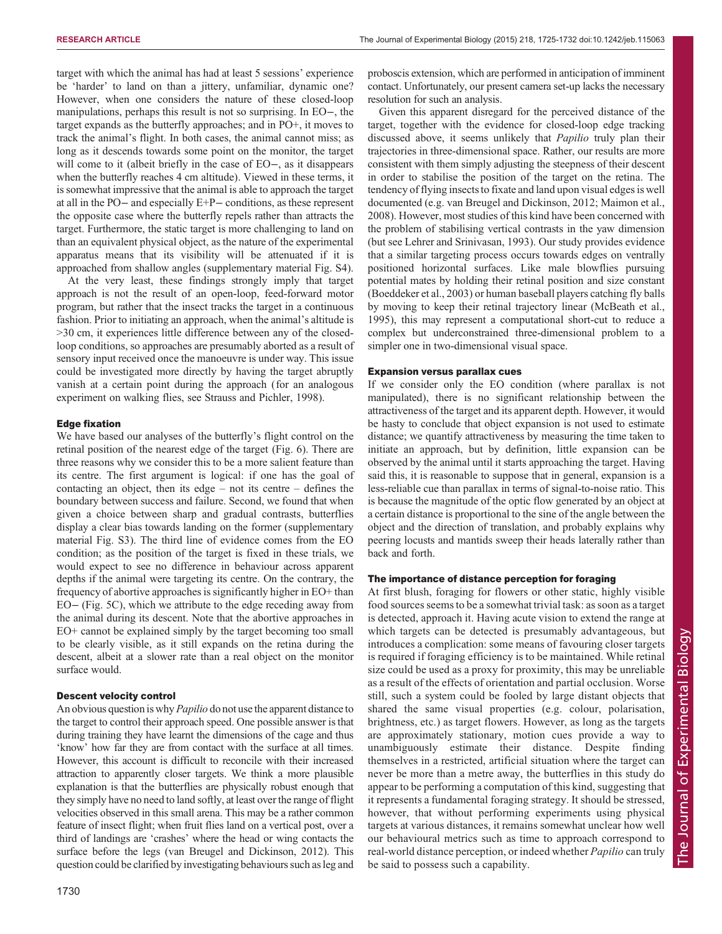target with which the animal has had at least 5 sessions' experience be 'harder' to land on than a jittery, unfamiliar, dynamic one? However, when one considers the nature of these closed-loop manipulations, perhaps this result is not so surprising. In EO−, the target expands as the butterfly approaches; and in PO+, it moves to track the animal's flight. In both cases, the animal cannot miss; as long as it descends towards some point on the monitor, the target will come to it (albeit briefly in the case of EO−, as it disappears when the butterfly reaches 4 cm altitude). Viewed in these terms, it is somewhat impressive that the animal is able to approach the target at all in the PO− and especially E+P− conditions, as these represent the opposite case where the butterfly repels rather than attracts the target. Furthermore, the static target is more challenging to land on than an equivalent physical object, as the nature of the experimental apparatus means that its visibility will be attenuated if it is approached from shallow angles ([supplementary material Fig. S4\)](http://jeb.biologists.org/lookup/suppl/doi:10.1242/jeb.115063/-/DC1).

At the very least, these findings strongly imply that target approach is not the result of an open-loop, feed-forward motor program, but rather that the insect tracks the target in a continuous fashion. Prior to initiating an approach, when the animal's altitude is >30 cm, it experiences little difference between any of the closedloop conditions, so approaches are presumably aborted as a result of sensory input received once the manoeuvre is under way. This issue could be investigated more directly by having the target abruptly vanish at a certain point during the approach (for an analogous experiment on walking flies, see [Strauss and Pichler, 1998](#page-7-0)).

## Edge fixation

We have based our analyses of the butterfly's flight control on the retinal position of the nearest edge of the target ([Fig. 6](#page-4-0)). There are three reasons why we consider this to be a more salient feature than its centre. The first argument is logical: if one has the goal of contacting an object, then its edge – not its centre – defines the boundary between success and failure. Second, we found that when given a choice between sharp and gradual contrasts, butterflies display a clear bias towards landing on the former ([supplementary](http://jeb.biologists.org/lookup/suppl/doi:10.1242/jeb.115063/-/DC1) [material Fig. S3](http://jeb.biologists.org/lookup/suppl/doi:10.1242/jeb.115063/-/DC1)). The third line of evidence comes from the EO condition; as the position of the target is fixed in these trials, we would expect to see no difference in behaviour across apparent depths if the animal were targeting its centre. On the contrary, the frequency of abortive approaches is significantly higher in EO+ than EO− ([Fig. 5C](#page-3-0)), which we attribute to the edge receding away from the animal during its descent. Note that the abortive approaches in EO+ cannot be explained simply by the target becoming too small to be clearly visible, as it still expands on the retina during the descent, albeit at a slower rate than a real object on the monitor surface would.

# Descent velocity control

An obvious question is why *Papilio* do not use the apparent distance to the target to control their approach speed. One possible answer is that during training they have learnt the dimensions of the cage and thus 'know' how far they are from contact with the surface at all times. However, this account is difficult to reconcile with their increased attraction to apparently closer targets. We think a more plausible explanation is that the butterflies are physically robust enough that they simply have no need to land softly, at least over the range of flight velocities observed in this small arena. This may be a rather common feature of insect flight; when fruit flies land on a vertical post, over a third of landings are 'crashes' where the head or wing contacts the surface before the legs ([van Breugel and Dickinson, 2012](#page-7-0)). This question could be clarified by investigating behaviours such as leg and proboscis extension, which are performed in anticipation of imminent contact. Unfortunately, our present camera set-up lacks the necessary resolution for such an analysis.

Given this apparent disregard for the perceived distance of the target, together with the evidence for closed-loop edge tracking discussed above, it seems unlikely that Papilio truly plan their trajectories in three-dimensional space. Rather, our results are more consistent with them simply adjusting the steepness of their descent in order to stabilise the position of the target on the retina. The tendency of flying insects to fixate and land upon visual edges is well documented (e.g. [van Breugel and Dickinson, 2012; Maimon et al.,](#page-7-0) [2008\)](#page-7-0). However, most studies of this kind have been concerned with the problem of stabilising vertical contrasts in the yaw dimension (but see [Lehrer and Srinivasan, 1993](#page-7-0)). Our study provides evidence that a similar targeting process occurs towards edges on ventrally positioned horizontal surfaces. Like male blowflies pursuing potential mates by holding their retinal position and size constant [\(Boeddeker et al., 2003\)](#page-7-0) or human baseball players catching fly balls by moving to keep their retinal trajectory linear [\(McBeath et al.,](#page-7-0) [1995\)](#page-7-0), this may represent a computational short-cut to reduce a complex but underconstrained three-dimensional problem to a simpler one in two-dimensional visual space.

# Expansion versus parallax cues

If we consider only the EO condition (where parallax is not manipulated), there is no significant relationship between the attractiveness of the target and its apparent depth. However, it would be hasty to conclude that object expansion is not used to estimate distance; we quantify attractiveness by measuring the time taken to initiate an approach, but by definition, little expansion can be observed by the animal until it starts approaching the target. Having said this, it is reasonable to suppose that in general, expansion is a less-reliable cue than parallax in terms of signal-to-noise ratio. This is because the magnitude of the optic flow generated by an object at a certain distance is proportional to the sine of the angle between the object and the direction of translation, and probably explains why peering locusts and mantids sweep their heads laterally rather than back and forth.

# The importance of distance perception for foraging

At first blush, foraging for flowers or other static, highly visible food sources seems to be a somewhat trivial task: as soon as a target is detected, approach it. Having acute vision to extend the range at which targets can be detected is presumably advantageous, but introduces a complication: some means of favouring closer targets is required if foraging efficiency is to be maintained. While retinal size could be used as a proxy for proximity, this may be unreliable as a result of the effects of orientation and partial occlusion. Worse still, such a system could be fooled by large distant objects that shared the same visual properties (e.g. colour, polarisation, brightness, etc.) as target flowers. However, as long as the targets are approximately stationary, motion cues provide a way to unambiguously estimate their distance. Despite finding themselves in a restricted, artificial situation where the target can never be more than a metre away, the butterflies in this study do appear to be performing a computation of this kind, suggesting that it represents a fundamental foraging strategy. It should be stressed, however, that without performing experiments using physical targets at various distances, it remains somewhat unclear how well our behavioural metrics such as time to approach correspond to real-world distance perception, or indeed whether Papilio can truly be said to possess such a capability.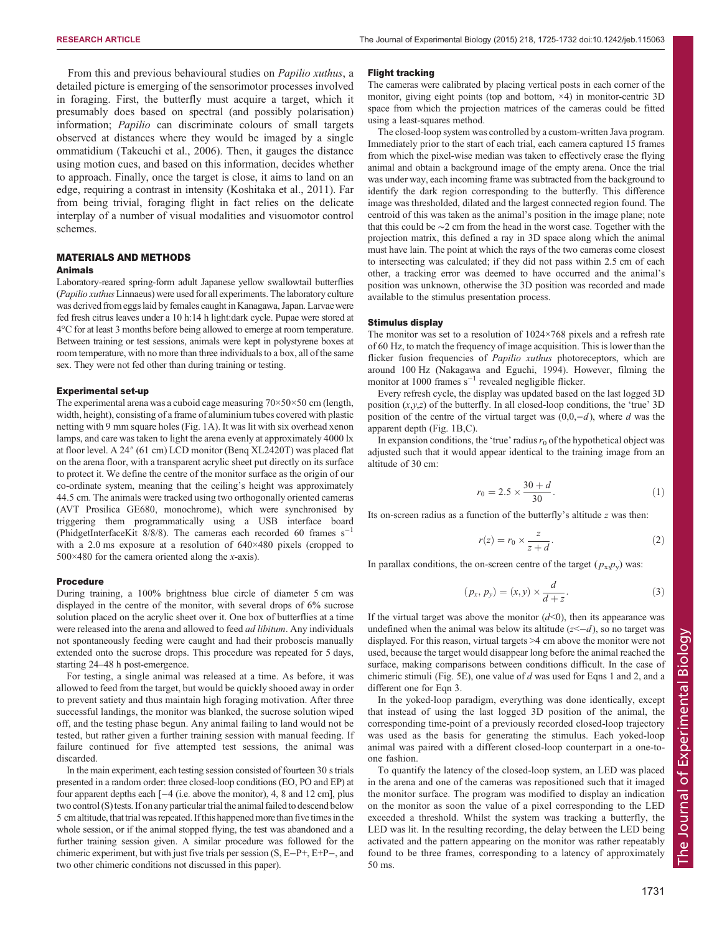From this and previous behavioural studies on Papilio xuthus, a detailed picture is emerging of the sensorimotor processes involved in foraging. First, the butterfly must acquire a target, which it presumably does based on spectral (and possibly polarisation) information; Papilio can discriminate colours of small targets observed at distances where they would be imaged by a single ommatidium [\(Takeuchi et al., 2006\)](#page-7-0). Then, it gauges the distance using motion cues, and based on this information, decides whether to approach. Finally, once the target is close, it aims to land on an edge, requiring a contrast in intensity [\(Koshitaka et al., 2011](#page-7-0)). Far from being trivial, foraging flight in fact relies on the delicate interplay of a number of visual modalities and visuomotor control schemes.

# MATERIALS AND METHODS

# Animals

Laboratory-reared spring-form adult Japanese yellow swallowtail butterflies (Papilio xuthus Linnaeus) were used for all experiments. The laboratory culture was derived from eggs laid by females caught in Kanagawa, Japan. Larvaewere fed fresh citrus leaves under a 10 h:14 h light:dark cycle. Pupae were stored at 4°C for at least 3 months before being allowed to emerge at room temperature. Between training or test sessions, animals were kept in polystyrene boxes at room temperature, with no more than three individuals to a box, all of the same sex. They were not fed other than during training or testing.

## Experimental set-up

The experimental arena was a cuboid cage measuring  $70 \times 50 \times 50$  cm (length, width, height), consisting of a frame of aluminium tubes covered with plastic netting with 9 mm square holes ([Fig. 1](#page-1-0)A). It was lit with six overhead xenon lamps, and care was taken to light the arena evenly at approximately 4000 lx at floor level. A 24″ (61 cm) LCD monitor (Benq XL2420T) was placed flat on the arena floor, with a transparent acrylic sheet put directly on its surface to protect it. We define the centre of the monitor surface as the origin of our co-ordinate system, meaning that the ceiling's height was approximately 44.5 cm. The animals were tracked using two orthogonally oriented cameras (AVT Prosilica GE680, monochrome), which were synchronised by triggering them programmatically using a USB interface board (PhidgetInterfaceKit 8/8/8). The cameras each recorded 60 frames s−<sup>1</sup> with a 2.0 ms exposure at a resolution of 640×480 pixels (cropped to  $500\times480$  for the camera oriented along the x-axis).

# Procedure

During training, a 100% brightness blue circle of diameter 5 cm was displayed in the centre of the monitor, with several drops of 6% sucrose solution placed on the acrylic sheet over it. One box of butterflies at a time were released into the arena and allowed to feed *ad libitum*. Any individuals not spontaneously feeding were caught and had their proboscis manually extended onto the sucrose drops. This procedure was repeated for 5 days, starting 24–48 h post-emergence.

For testing, a single animal was released at a time. As before, it was allowed to feed from the target, but would be quickly shooed away in order to prevent satiety and thus maintain high foraging motivation. After three successful landings, the monitor was blanked, the sucrose solution wiped off, and the testing phase begun. Any animal failing to land would not be tested, but rather given a further training session with manual feeding. If failure continued for five attempted test sessions, the animal was discarded.

In the main experiment, each testing session consisted of fourteen 30 s trials presented in a random order: three closed-loop conditions (EO, PO and EP) at four apparent depths each [−4 (i.e. above the monitor), 4, 8 and 12 cm], plus two control (S) tests. If on any particular trial the animal failed to descend below 5 cm altitude, that trial was repeated. If this happened more than five timesin the whole session, or if the animal stopped flying, the test was abandoned and a further training session given. A similar procedure was followed for the chimeric experiment, but with just five trials per session (S, E−P+, E+P−, and two other chimeric conditions not discussed in this paper).

## Flight tracking

The cameras were calibrated by placing vertical posts in each corner of the monitor, giving eight points (top and bottom, ×4) in monitor-centric 3D space from which the projection matrices of the cameras could be fitted using a least-squares method.

The closed-loop system was controlled by a custom-written Java program. Immediately prior to the start of each trial, each camera captured 15 frames from which the pixel-wise median was taken to effectively erase the flying animal and obtain a background image of the empty arena. Once the trial was under way, each incoming frame was subtracted from the background to identify the dark region corresponding to the butterfly. This difference image was thresholded, dilated and the largest connected region found. The centroid of this was taken as the animal's position in the image plane; note that this could be ∼2 cm from the head in the worst case. Together with the projection matrix, this defined a ray in 3D space along which the animal must have lain. The point at which the rays of the two cameras come closest to intersecting was calculated; if they did not pass within 2.5 cm of each other, a tracking error was deemed to have occurred and the animal's position was unknown, otherwise the 3D position was recorded and made available to the stimulus presentation process.

## Stimulus display

The monitor was set to a resolution of 1024×768 pixels and a refresh rate of 60 Hz, to match the frequency of image acquisition. This is lower than the flicker fusion frequencies of Papilio xuthus photoreceptors, which are around 100 Hz [\(Nakagawa and Eguchi, 1994](#page-7-0)). However, filming the monitor at 1000 frames s<sup>-1</sup> revealed negligible flicker.

Every refresh cycle, the display was updated based on the last logged 3D position  $(x,y,z)$  of the butterfly. In all closed-loop conditions, the 'true' 3D position of the centre of the virtual target was (0,0,−d), where d was the apparent depth [\(Fig. 1](#page-1-0)B,C).

In expansion conditions, the 'true' radius  $r_0$  of the hypothetical object was adjusted such that it would appear identical to the training image from an altitude of 30 cm:

$$
r_0 = 2.5 \times \frac{30 + d}{30}.\tag{1}
$$

Its on-screen radius as a function of the butterfly's altitude z was then:

$$
r(z) = r_0 \times \frac{z}{z+d}.\tag{2}
$$

In parallax conditions, the on-screen centre of the target  $(p_x, p_y)$  was:

$$
(p_x, p_y) = (x, y) \times \frac{d}{d+z}.
$$
 (3)

If the virtual target was above the monitor  $(d<0)$ , then its appearance was undefined when the animal was below its altitude  $(z < -d)$ , so no target was displayed. For this reason, virtual targets >4 cm above the monitor were not used, because the target would disappear long before the animal reached the surface, making comparisons between conditions difficult. In the case of chimeric stimuli ([Fig. 5](#page-3-0)E), one value of  $d$  was used for Eqns 1 and 2, and a different one for Eqn 3.

In the yoked-loop paradigm, everything was done identically, except that instead of using the last logged 3D position of the animal, the corresponding time-point of a previously recorded closed-loop trajectory was used as the basis for generating the stimulus. Each yoked-loop animal was paired with a different closed-loop counterpart in a one-toone fashion.

To quantify the latency of the closed-loop system, an LED was placed in the arena and one of the cameras was repositioned such that it imaged the monitor surface. The program was modified to display an indication on the monitor as soon the value of a pixel corresponding to the LED exceeded a threshold. Whilst the system was tracking a butterfly, the LED was lit. In the resulting recording, the delay between the LED being activated and the pattern appearing on the monitor was rather repeatably found to be three frames, corresponding to a latency of approximately 50 ms.